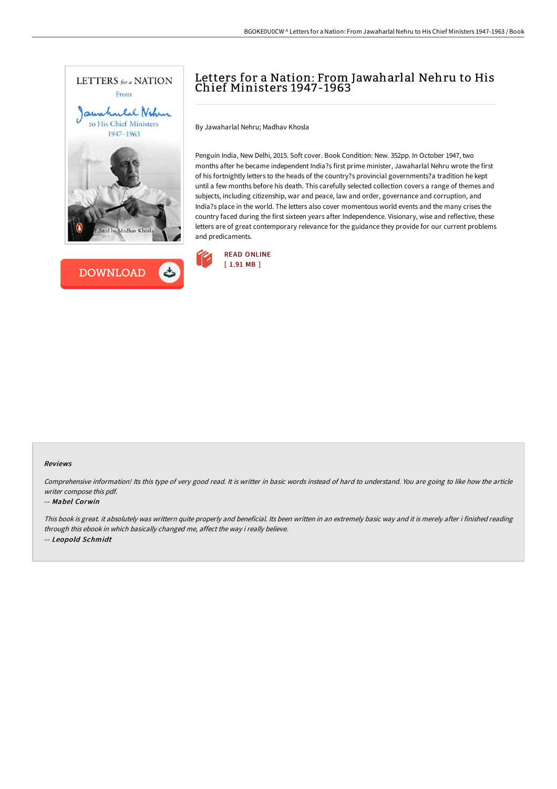



## Letters for a Nation: From Jawaharlal Nehru to His Chief Ministers 1947-1963

By Jawaharlal Nehru; Madhav Khosla

Penguin India, New Delhi, 2015. Soft cover. Book Condition: New. 352pp. In October 1947, two months after he became independent India?s first prime minister, Jawaharlal Nehru wrote the first of his fortnightly letters to the heads of the country?s provincial governments?a tradition he kept until a few months before his death. This carefully selected collection covers a range of themes and subjects, including citizenship, war and peace, law and order, governance and corruption, and India?s place in the world. The letters also cover momentous world events and the many crises the country faced during the first sixteen years after Independence. Visionary, wise and reflective, these letters are of great contemporary relevance for the guidance they provide for our current problems and predicaments.



## Reviews

Comprehensive information! Its this type of very good read. It is writter in basic words instead of hard to understand. You are going to like how the article writer compose this pdf.

## -- Mabel Corwin

This book is great. it absolutely was writtern quite properly and beneficial. Its been written in an extremely basic way and it is merely after i finished reading through this ebook in which basically changed me, affect the way i really believe. -- Leopold Schmidt